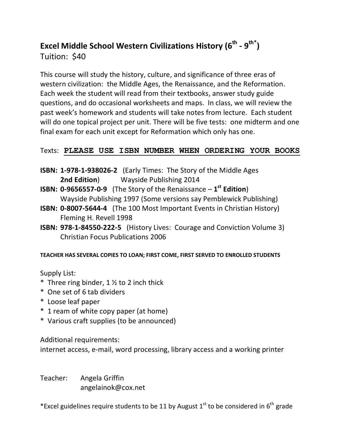## **Excel Middle School Western Civilizations History (6th - 9 th\* )**  Tuition: \$40

This course will study the history, culture, and significance of three eras of western civilization: the Middle Ages, the Renaissance, and the Reformation. Each week the student will read from their textbooks, answer study guide questions, and do occasional worksheets and maps. In class, we will review the past week's homework and students will take notes from lecture. Each student will do one topical project per unit. There will be five tests: one midterm and one final exam for each unit except for Reformation which only has one.

## Texts: **PLEASE USE ISBN NUMBER WHEN ORDERING YOUR BOOKS**

- **ISBN: 1-978-1-938026-2** (Early Times: The Story of the Middle Ages **2nd Edition**) Wayside Publishing 2014
- **ISBN: 0-9656557-0-9** (The Story of the Renaissance **1 st Edition**) Wayside Publishing 1997 (Some versions say Pemblewick Publishing)
- **ISBN: 0-8007-5644-4** (The 100 Most Important Events in Christian History) Fleming H. Revell 1998
- **ISBN: 978-1-84550-222-5** (History Lives: Courage and Conviction Volume 3) Christian Focus Publications 2006

## **TEACHER HAS SEVERAL COPIES TO LOAN; FIRST COME, FIRST SERVED TO ENROLLED STUDENTS**

Supply List:

- \* Three ring binder,  $1 \frac{1}{2}$  to 2 inch thick
- \* One set of 6 tab dividers
- \* Loose leaf paper
- \* 1 ream of white copy paper (at home)
- \* Various craft supplies (to be announced)

Additional requirements:

internet access, e-mail, word processing, library access and a working printer

Teacher: Angela Griffin [angelainok@cox.net](mailto:angelainok@cox.net)

\*Excel guidelines require students to be 11 by August  $1^{\text{st}}$  to be considered in 6<sup>th</sup> grade